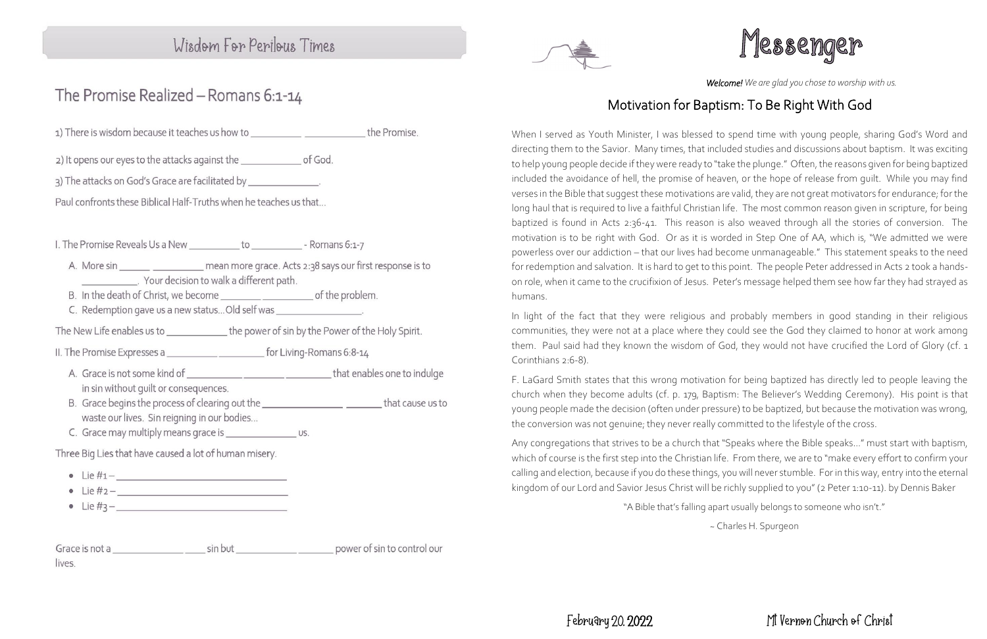### Wisdom For Perilous Times

### The Promise Realized - Romans 6:1-14

1) There is wisdom because it teaches us how to \_\_\_\_\_\_\_\_\_\_\_\_\_\_\_\_\_\_\_\_\_\_\_\_\_\_\_\_the Promise.

2) It opens our eyes to the attacks against the of God.

3) The attacks on God's Grace are facilitated by \_\_\_\_\_\_\_\_\_\_\_\_\_\_\_.

Paul confronts these Biblical Half-Truths when he teaches us that...

I. The Promise Reveals Us a New to to Romans 6:1-7

- A. More sin \_\_\_\_\_\_\_ \_\_\_\_\_\_\_\_\_\_\_ mean more grace. Acts 2:38 says our first response is to Your decision to walk a different path.
- 
- C. Redemption gave us a new status... Old self was \_\_\_\_\_\_\_\_\_\_\_\_\_\_\_\_\_\_\_\_.

The New Life enables us to the power of sin by the Power of the Holy Spirit.

- - A. Grace is not some kind of the state of that enables one to indulge in sin without quilt or consequences.
	- B. Grace begins the process of clearing out the \_\_\_\_\_\_\_\_\_\_\_\_\_\_\_\_\_\_\_\_\_\_\_\_\_\_\_\_\_\_that cause us to waste our lives. Sin reigning in our bodies...
	- C. Grace may multiply means grace is \_\_\_\_\_\_\_\_\_\_\_\_\_\_\_\_\_\_ us.

Three Big Lies that have caused a lot of human misery.

- Lie  $#1 -$
- $\bullet$  Lie  $\#2 -$
- 



*Welcome! We are glad you chose to worship with us.*

### Mt Vernon Church of Christ

# Motivation for Baptism: To Be Right With God

When I served as Youth Minister, I was blessed to spend time with young people, sharing God's Word and directing them to the Savior. Many times, that included studies and discussions about baptism. It was exciting to help young people decide if they were ready to "take the plunge." Often, the reasons given for being baptized included the avoidance of hell, the promise of heaven, or the hope of release from guilt. While you may find verses in the Bible that suggest these motivations are valid, they are not great motivators for endurance; for the long haul that is required to live a faithful Christian life. The most common reason given in scripture, for being baptized is found in Acts 2:36-41. This reason is also weaved through all the stories of conversion. The motivation is to be right with God. Or as it is worded in Step One of AA, which is, "We admitted we were powerless over our addiction – that our lives had become unmanageable." This statement speaks to the need for redemption and salvation. It is hard to get to this point. The people Peter addressed in Acts 2 took a handson role, when it came to the crucifixion of Jesus. Peter's message helped them see how far they had strayed as humans.

In light of the fact that they were religious and probably members in good standing in their religious communities, they were not at a place where they could see the God they claimed to honor at work among them. Paul said had they known the wisdom of God, they would not have crucified the Lord of Glory (cf. 1 Corinthians 2:6-8).

F. LaGard Smith states that this wrong motivation for being baptized has directly led to people leaving the church when they become adults (cf. p. 179, Baptism: The Believer's Wedding Ceremony). His point is that young people made the decision (often under pressure) to be baptized, but because the motivation was wrong, the conversion was not genuine; they never really committed to the lifestyle of the cross.

Any congregations that strives to be a church that "Speaks where the Bible speaks…" must start with baptism, which of course is the first step into the Christian life. From there, we are to "make every effort to confirm your calling and election, because if you do these things, you will never stumble. For in this way, entry into the eternal kingdom of our Lord and Savior Jesus Christ will be richly supplied to you" (2 Peter 1:10-11). by Dennis Baker

"A Bible that's falling apart usually belongs to someone who isn't."

~ Charles H. Spurgeon

Grace is not a sin but sin but by power of sin to control our lives.